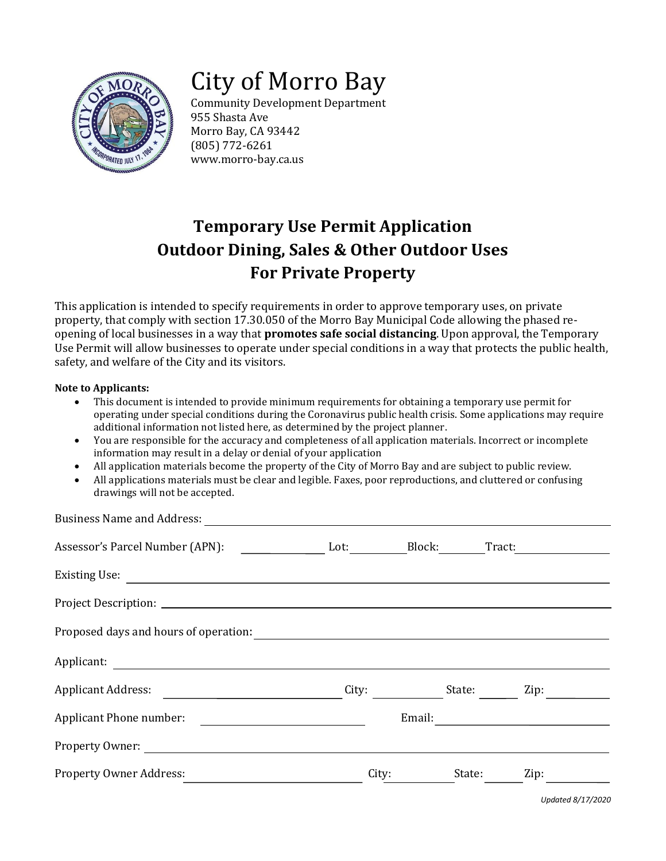

# City of Morro Bay

Community Development Department 955 Shasta Ave Morro Bay, CA 93442 (805) 772-6261 www.morro-bay.ca.us

# **Temporary Use Permit Application Outdoor Dining, Sales & Other Outdoor Uses For Private Property**

This application is intended to specify requirements in order to approve temporary uses, on private property, that comply with section 17.30.050 of the Morro Bay Municipal Code allowing the phased reopening of local businesses in a way that **promotes safe social distancing**. Upon approval, the Temporary Use Permit will allow businesses to operate under special conditions in a way that protects the public health, safety, and welfare of the City and its visitors.

#### **Note to Applicants:**

- This document is intended to provide minimum requirements for obtaining a temporary use permit for operating under special conditions during the Coronavirus public health crisis. Some applications may require additional information not listed here, as determined by the project planner.
- You are responsible for the accuracy and completeness of all application materials. Incorrect or incomplete information may result in a delay or denial of your application
- All application materials become the property of the City of Morro Bay and are subject to public review.
- All applications materials must be clear and legible. Faxes, poor reproductions, and cluttered or confusing drawings will not be accepted.

| <b>Business Name and Address:</b>                |       |        |        |        |  |
|--------------------------------------------------|-------|--------|--------|--------|--|
| Assessor's Parcel Number (APN): Lot: Lot: Block: |       |        |        | Tract: |  |
|                                                  |       |        |        |        |  |
|                                                  |       |        |        |        |  |
|                                                  |       |        |        |        |  |
| Applicant:                                       |       |        |        |        |  |
| <b>Applicant Address:</b>                        | City: |        | State: | Zip:   |  |
| Applicant Phone number:                          |       | Email: |        |        |  |
| Property Owner:                                  |       |        |        |        |  |
| <b>Property Owner Address:</b>                   | City: |        | State: | Zip:   |  |

*Updated 8/17/2020*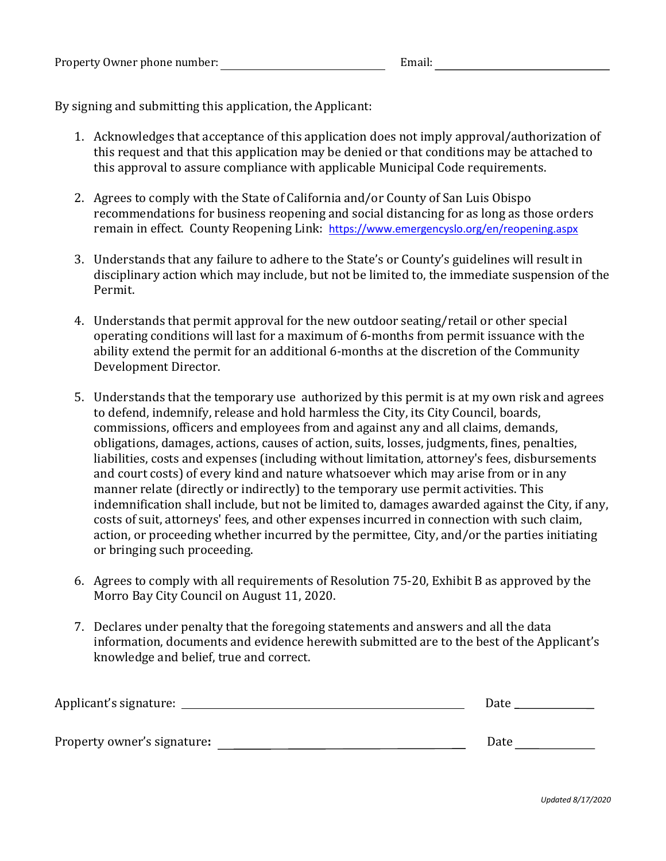By signing and submitting this application, the Applicant:

- 1. Acknowledges that acceptance of this application does not imply approval/authorization of this request and that this application may be denied or that conditions may be attached to this approval to assure compliance with applicable Municipal Code requirements.
- 2. Agrees to comply with the State of California and/or County of San Luis Obispo recommendations for business reopening and social distancing for as long as those orders remain in effect. County Reopening Link: <https://www.emergencyslo.org/en/reopening.aspx>
- 3. Understands that any failure to adhere to the State's or County's guidelines will result in disciplinary action which may include, but not be limited to, the immediate suspension of the Permit.
- 4. Understands that permit approval for the new outdoor seating/retail or other special operating conditions will last for a maximum of 6-months from permit issuance with the ability extend the permit for an additional 6-months at the discretion of the Community Development Director.
- 5. Understands that the temporary use authorized by this permit is at my own risk and agrees to defend, indemnify, release and hold harmless the City, its City Council, boards, commissions, officers and employees from and against any and all claims, demands, obligations, damages, actions, causes of action, suits, losses, judgments, fines, penalties, liabilities, costs and expenses (including without limitation, attorney's fees, disbursements and court costs) of every kind and nature whatsoever which may arise from or in any manner relate (directly or indirectly) to the temporary use permit activities. This indemnification shall include, but not be limited to, damages awarded against the City, if any, costs of suit, attorneys' fees, and other expenses incurred in connection with such claim, action, or proceeding whether incurred by the permittee, City, and/or the parties initiating or bringing such proceeding.
- 6. Agrees to comply with all requirements of Resolution 75-20, Exhibit B as approved by the Morro Bay City Council on August 11, 2020.
- 7. Declares under penalty that the foregoing statements and answers and all the data information, documents and evidence herewith submitted are to the best of the Applicant's knowledge and belief, true and correct.

| Applicant's signature:      | Date |
|-----------------------------|------|
| Property owner's signature: | Date |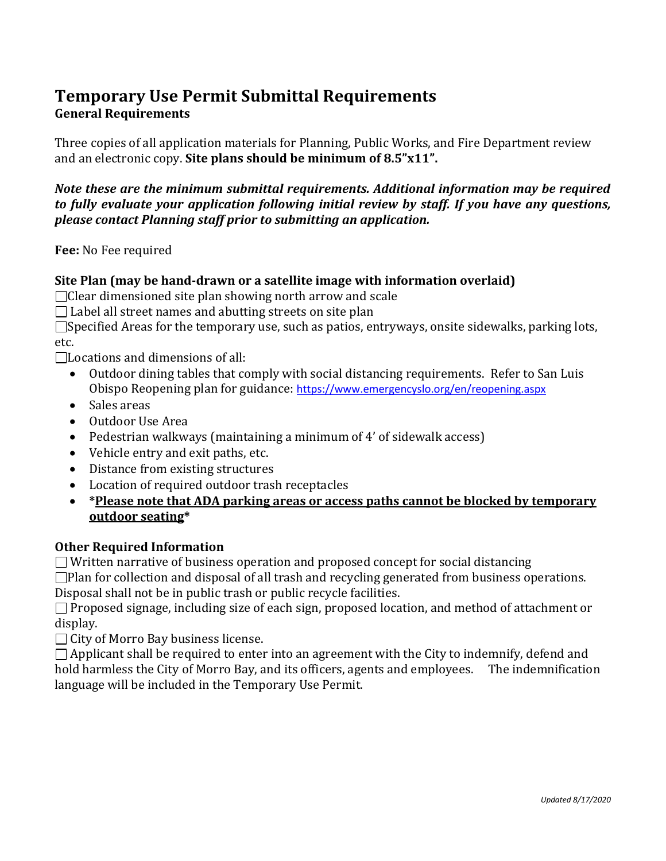# **Temporary Use Permit Submittal Requirements General Requirements**

Three copies of all application materials for Planning, Public Works, and Fire Department review and an electronic copy. **Site plans should be minimum of 8.5"x11".**

*Note these are the minimum submittal requirements. Additional information may be required to fully evaluate your application following initial review by staff. If you have any questions, please contact Planning staff prior to submitting an application.*

**Fee:** No Fee required

#### **Site Plan (may be hand-drawn or a satellite image with information overlaid)**

□ Clear dimensioned site plan showing north arrow and scale

 $\Box$  Label all street names and abutting streets on site plan

 $\square$ Specified Areas for the temporary use, such as patios, entryways, onsite sidewalks, parking lots, etc.

 $\Box$ Locations and dimensions of all:

- Outdoor dining tables that comply with social distancing requirements. Refer to San Luis Obispo Reopening plan for guidance: <https://www.emergencyslo.org/en/reopening.aspx>
- Sales areas
- Outdoor Use Area
- Pedestrian walkways (maintaining a minimum of 4' of sidewalk access)
- Vehicle entry and exit paths, etc.
- Distance from existing structures
- Location of required outdoor trash receptacles
- **\*Please note that ADA parking areas or access paths cannot be blocked by temporary outdoor seating\***

## **Other Required Information**

 $\Box$  Written narrative of business operation and proposed concept for social distancing

 $\Box$ Plan for collection and disposal of all trash and recycling generated from business operations. Disposal shall not be in public trash or public recycle facilities.

 $\Box$  Proposed signage, including size of each sign, proposed location, and method of attachment or display.

 $\Box$  City of Morro Bay business license.

 $\Box$  Applicant shall be required to enter into an agreement with the City to indemnify, defend and hold harmless the City of Morro Bay, and its officers, agents and employees. The indemnification language will be included in the Temporary Use Permit.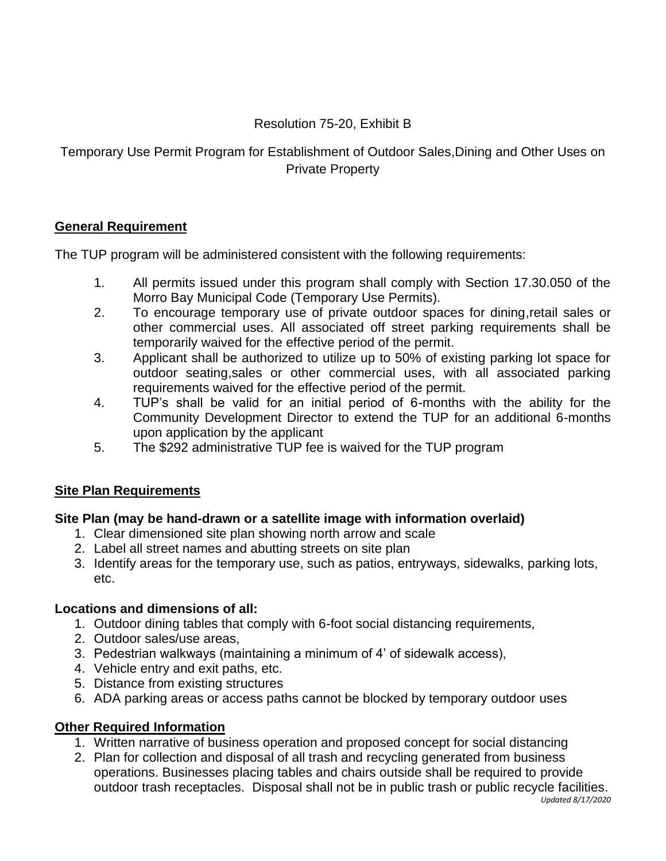# Resolution 75-20, Exhibit B

Temporary Use Permit Program for Establishment of Outdoor Sales,Dining and Other Uses on Private Property

# **General Requirement**

The TUP program will be administered consistent with the following requirements:

- 1. All permits issued under this program shall comply with Section 17.30.050 of the Morro Bay Municipal Code (Temporary Use Permits).
- 2. To encourage temporary use of private outdoor spaces for dining,retail sales or other commercial uses. All associated off street parking requirements shall be temporarily waived for the effective period of the permit.
- 3. Applicant shall be authorized to utilize up to 50% of existing parking lot space for outdoor seating,sales or other commercial uses, with all associated parking requirements waived for the effective period of the permit.
- 4. TUP's shall be valid for an initial period of 6-months with the ability for the Community Development Director to extend the TUP for an additional 6-months upon application by the applicant
- 5. The \$292 administrative TUP fee is waived for the TUP program

# **Site Plan Requirements**

# **Site Plan (may be hand-drawn or a satellite image with information overlaid)**

- 1. Clear dimensioned site plan showing north arrow and scale
- 2. Label all street names and abutting streets on site plan
- 3. Identify areas for the temporary use, such as patios, entryways, sidewalks, parking lots, etc.

## **Locations and dimensions of all:**

- 1. Outdoor dining tables that comply with 6-foot social distancing requirements,
- 2. Outdoor sales/use areas,
- 3. Pedestrian walkways (maintaining a minimum of 4' of sidewalk access),
- 4. Vehicle entry and exit paths, etc.
- 5. Distance from existing structures
- 6. ADA parking areas or access paths cannot be blocked by temporary outdoor uses

# **Other Required Information**

- 1. Written narrative of business operation and proposed concept for social distancing
- 2. Plan for collection and disposal of all trash and recycling generated from business operations. Businesses placing tables and chairs outside shall be required to provide outdoor trash receptacles. Disposal shall not be in public trash or public recycle facilities.